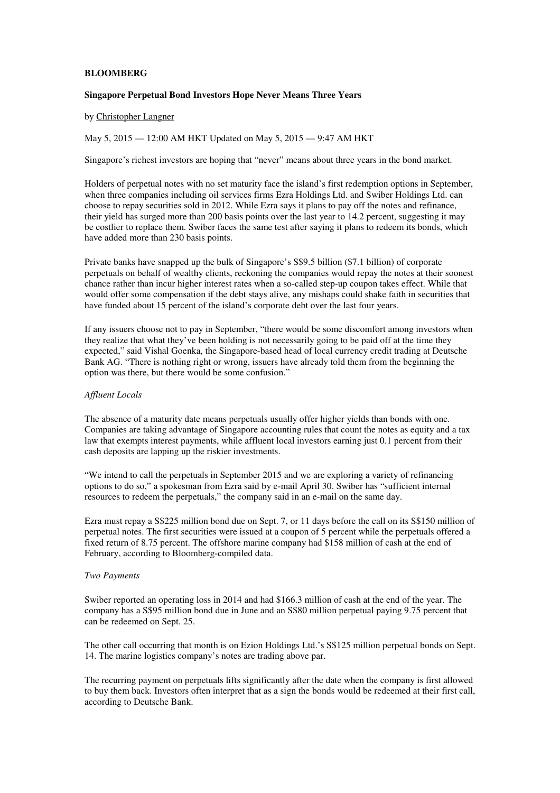# **BLOOMBERG**

#### **Singapore Perpetual Bond Investors Hope Never Means Three Years**

#### by Christopher Langner

May 5, 2015 — 12:00 AM HKT Updated on May 5, 2015 — 9:47 AM HKT

Singapore's richest investors are hoping that "never" means about three years in the bond market.

Holders of perpetual notes with no set maturity face the island's first redemption options in September, when three companies including oil services firms Ezra Holdings Ltd. and Swiber Holdings Ltd. can choose to repay securities sold in 2012. While Ezra says it plans to pay off the notes and refinance, their yield has surged more than 200 basis points over the last year to 14.2 percent, suggesting it may be costlier to replace them. Swiber faces the same test after saying it plans to redeem its bonds, which have added more than 230 basis points.

Private banks have snapped up the bulk of Singapore's S\$9.5 billion (\$7.1 billion) of corporate perpetuals on behalf of wealthy clients, reckoning the companies would repay the notes at their soonest chance rather than incur higher interest rates when a so-called step-up coupon takes effect. While that would offer some compensation if the debt stays alive, any mishaps could shake faith in securities that have funded about 15 percent of the island's corporate debt over the last four years.

If any issuers choose not to pay in September, "there would be some discomfort among investors when they realize that what they've been holding is not necessarily going to be paid off at the time they expected," said Vishal Goenka, the Singapore-based head of local currency credit trading at Deutsche Bank AG. "There is nothing right or wrong, issuers have already told them from the beginning the option was there, but there would be some confusion."

#### *Affluent Locals*

The absence of a maturity date means perpetuals usually offer higher yields than bonds with one. Companies are taking advantage of Singapore accounting rules that count the notes as equity and a tax law that exempts interest payments, while affluent local investors earning just 0.1 percent from their cash deposits are lapping up the riskier investments.

"We intend to call the perpetuals in September 2015 and we are exploring a variety of refinancing options to do so," a spokesman from Ezra said by e-mail April 30. Swiber has "sufficient internal resources to redeem the perpetuals," the company said in an e-mail on the same day.

Ezra must repay a S\$225 million bond due on Sept. 7, or 11 days before the call on its S\$150 million of perpetual notes. The first securities were issued at a coupon of 5 percent while the perpetuals offered a fixed return of 8.75 percent. The offshore marine company had \$158 million of cash at the end of February, according to Bloomberg-compiled data.

#### *Two Payments*

Swiber reported an operating loss in 2014 and had \$166.3 million of cash at the end of the year. The company has a S\$95 million bond due in June and an S\$80 million perpetual paying 9.75 percent that can be redeemed on Sept. 25.

The other call occurring that month is on Ezion Holdings Ltd.'s S\$125 million perpetual bonds on Sept. 14. The marine logistics company's notes are trading above par.

The recurring payment on perpetuals lifts significantly after the date when the company is first allowed to buy them back. Investors often interpret that as a sign the bonds would be redeemed at their first call, according to Deutsche Bank.